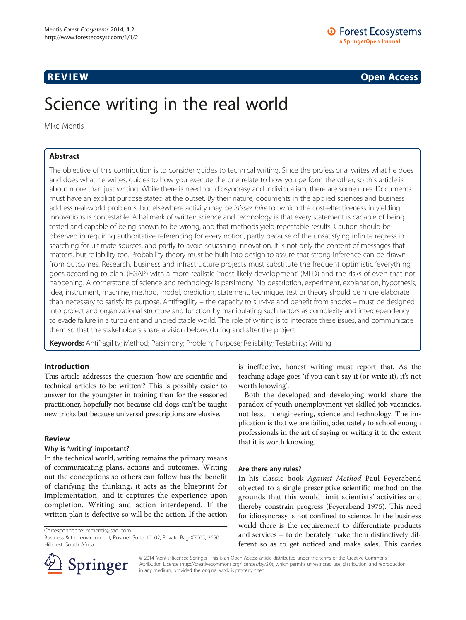# **REVIEW CONSTRUCTION CONSTRUCTION CONSTRUCTS**

# Science writing in the real world

Mike Mentis

## Abstract

The objective of this contribution is to consider guides to technical writing. Since the professional writes what he does and does what he writes, guides to how you execute the one relate to how you perform the other, so this article is about more than just writing. While there is need for idiosyncrasy and individualism, there are some rules. Documents must have an explicit purpose stated at the outset. By their nature, documents in the applied sciences and business address real-world problems, but elsewhere activity may be laissez faire for which the cost-effectiveness in yielding innovations is contestable. A hallmark of written science and technology is that every statement is capable of being tested and capable of being shown to be wrong, and that methods yield repeatable results. Caution should be observed in requiring authoritative referencing for every notion, partly because of the unsatisfying infinite regress in searching for ultimate sources, and partly to avoid squashing innovation. It is not only the content of messages that matters, but reliability too. Probability theory must be built into design to assure that strong inference can be drawn from outcomes. Research, business and infrastructure projects must substitute the frequent optimistic 'everything goes according to plan' (EGAP) with a more realistic 'most likely development' (MLD) and the risks of even that not happening. A cornerstone of science and technology is parsimony. No description, experiment, explanation, hypothesis, idea, instrument, machine, method, model, prediction, statement, technique, test or theory should be more elaborate than necessary to satisfy its purpose. Antifragility – the capacity to survive and benefit from shocks – must be designed into project and organizational structure and function by manipulating such factors as complexity and interdependency to evade failure in a turbulent and unpredictable world. The role of writing is to integrate these issues, and communicate them so that the stakeholders share a vision before, during and after the project.

Keywords: Antifragility; Method; Parsimony; Problem; Purpose; Reliability; Testability; Writing

### Introduction

This article addresses the question 'how are scientific and technical articles to be written'? This is possibly easier to answer for the youngster in training than for the seasoned practitioner, hopefully not because old dogs can't be taught new tricks but because universal prescriptions are elusive.

### Review

#### Why is 'writing' important?

In the technical world, writing remains the primary means of communicating plans, actions and outcomes. Writing out the conceptions so others can follow has the benefit of clarifying the thinking, it acts as the blueprint for implementation, and it captures the experience upon completion. Writing and action interdepend. If the written plan is defective so will be the action. If the action

Correspondence: [mmentis@saol.com](mailto:mmentis@saol.com)



Both the developed and developing world share the paradox of youth unemployment yet skilled job vacancies, not least in engineering, science and technology. The implication is that we are failing adequately to school enough professionals in the art of saying or writing it to the extent that it is worth knowing.

#### Are there any rules?

In his classic book Against Method Paul Feyerabend objected to a single prescriptive scientific method on the grounds that this would limit scientists' activities and thereby constrain progress (Feyerabend [1975\)](#page-7-0). This need for idiosyncrasy is not confined to science. In the business world there is the requirement to differentiate products and services – to deliberately make them distinctively different so as to get noticed and make sales. This carries



© 2014 Mentis; licensee Springer. This is an Open Access article distributed under the terms of the Creative Commons Attribution License [\(http://creativecommons.org/licenses/by/2.0\)](http://creativecommons.org/licenses/by/2.0), which permits unrestricted use, distribution, and reproduction in any medium, provided the original work is properly cited.

Business & the environment, Postnet Suite 10102, Private Bag X7005, 3650 Hillcrest, South Africa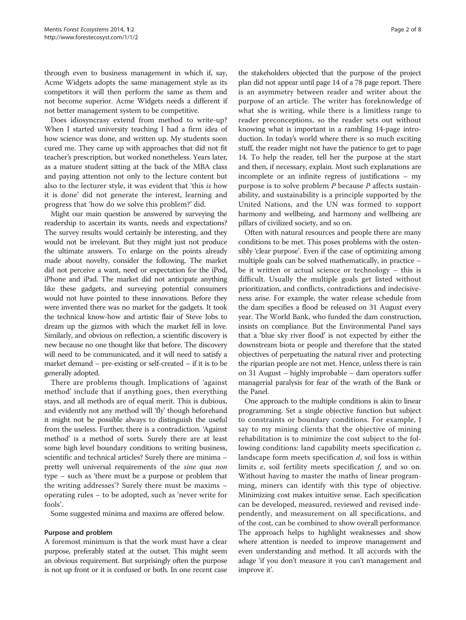through even to business management in which if, say, Acme Widgets adopts the same management style as its competitors it will then perform the same as them and not become superior. Acme Widgets needs a different if not better management system to be competitive.

Does idiosyncrasy extend from method to write-up? When I started university teaching I had a firm idea of how science was done, and written up. My students soon cured me. They came up with approaches that did not fit teacher's prescription, but worked nonetheless. Years later, as a mature student sitting at the back of the MBA class and paying attention not only to the lecture content but also to the lecturer style, it was evident that 'this is how it is done' did not generate the interest, learning and progress that 'how do we solve this problem?' did.

Might our main question be answered by surveying the readership to ascertain its wants, needs and expectations? The survey results would certainly be interesting, and they would not be irrelevant. But they might just not produce the ultimate answers. To enlarge on the points already made about novelty, consider the following. The market did not perceive a want, need or expectation for the iPod, iPhone and iPad. The market did not anticipate anything like these gadgets, and surveying potential consumers would not have pointed to these innovations. Before they were invented there was no market for the gadgets. It took the technical know-how and artistic flair of Steve Jobs to dream up the gizmos with which the market fell in love. Similarly, and obvious on reflection, a scientific discovery is new because no one thought like that before. The discovery will need to be communicated, and it will need to satisfy a market demand – pre-existing or self-created – if it is to be generally adopted.

There are problems though. Implications of 'against method' include that if anything goes, then everything stays, and all methods are of equal merit. This is dubious, and evidently not any method will 'fly' though beforehand it might not be possible always to distinguish the useful from the useless. Further, there is a contradiction. 'Against method' is a method of sorts. Surely there are at least some high level boundary conditions to writing business, scientific and technical articles? Surely there are minima – pretty well universal requirements of the sine qua non type – such as 'there must be a purpose or problem that the writing addresses'? Surely there must be maxims – operating rules – to be adopted, such as 'never write for fools'.

Some suggested minima and maxims are offered below.

### Purpose and problem

A foremost minimum is that the work must have a clear purpose, preferably stated at the outset. This might seem an obvious requirement. But surprisingly often the purpose is not up front or it is confused or both. In one recent case

the stakeholders objected that the purpose of the project plan did not appear until page 14 of a 78 page report. There is an asymmetry between reader and writer about the purpose of an article. The writer has foreknowledge of what she is writing, while there is a limitless range to reader preconceptions, so the reader sets out without knowing what is important in a rambling 14-page introduction. In today's world where there is so much exciting stuff, the reader might not have the patience to get to page 14. To help the reader, tell her the purpose at the start and then, if necessary, explain. Most such explanations are incomplete or an infinite regress of justifications – my purpose is to solve problem  $P$  because  $P$  affects sustainability, and sustainability is a principle supported by the United Nations, and the UN was formed to support harmony and wellbeing, and harmony and wellbeing are pillars of civilized society, and so on.

Often with natural resources and people there are many conditions to be met. This poses problems with the ostensibly 'clear purpose'. Even if the case of optimizing among multiple goals can be solved mathematically, in practice – be it written or actual science or technology – this is difficult. Usually the multiple goals get listed without prioritization, and conflicts, contradictions and indecisiveness arise. For example, the water release schedule from the dam specifies a flood be released on 31 August every year. The World Bank, who funded the dam construction, insists on compliance. But the Environmental Panel says that a 'blue sky river flood' is not expected by either the downstream biota or people and therefore that the stated objectives of perpetuating the natural river and protecting the riparian people are not met. Hence, unless there is rain on 31 August – highly improbable – dam operators suffer managerial paralysis for fear of the wrath of the Bank or the Panel.

One approach to the multiple conditions is akin to linear programming. Set a single objective function but subject to constraints or boundary conditions. For example, I say to my mining clients that the objective of mining rehabilitation is to minimize the cost subject to the following conditions: land capability meets specification c, landscape form meets specification  $d$ , soil loss is within limits  $e$ , soil fertility meets specification  $f$ , and so on. Without having to master the maths of linear programming, miners can identify with this type of objective. Minimizing cost makes intuitive sense. Each specification can be developed, measured, reviewed and revised independently, and measurement on all specifications, and of the cost, can be combined to show overall performance. The approach helps to highlight weaknesses and show where attention is needed to improve management and even understanding and method. It all accords with the adage 'if you don't measure it you can't management and improve it'.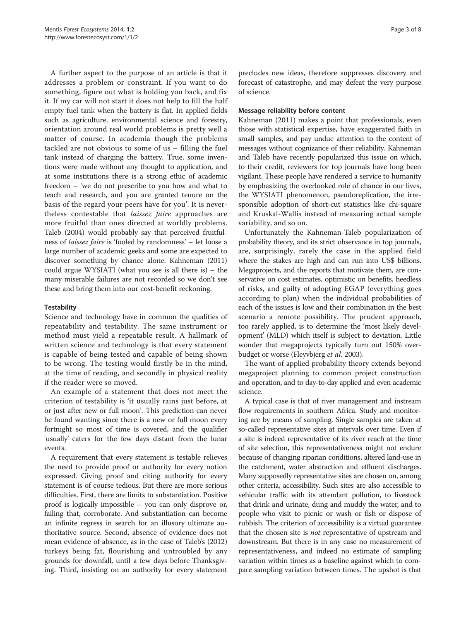A further aspect to the purpose of an article is that it addresses a problem or constraint. If you want to do something, figure out what is holding you back, and fix it. If my car will not start it does not help to fill the half empty fuel tank when the battery is flat. In applied fields such as agriculture, environmental science and forestry, orientation around real world problems is pretty well a matter of course. In academia though the problems tackled are not obvious to some of us – filling the fuel tank instead of charging the battery. True, some inventions were made without any thought to application, and at some institutions there is a strong ethic of academic freedom – 'we do not prescribe to you how and what to teach and research, and you are granted tenure on the basis of the regard your peers have for you'. It is nevertheless contestable that laissez faire approaches are more fruitful than ones directed at worldly problems. Taleb ([2004\)](#page-7-0) would probably say that perceived fruitfulness of laissez faire is 'fooled by randomness' – let loose a large number of academic geeks and some are expected to discover something by chance alone. Kahneman [\(2011](#page-7-0)) could argue WYSIATI (what you see is all there is) – the many miserable failures are not recorded so we don't see these and bring them into our cost-benefit reckoning.

### **Testability**

Science and technology have in common the qualities of repeatability and testability. The same instrument or method must yield a repeatable result. A hallmark of written science and technology is that every statement is capable of being tested and capable of being shown to be wrong. The testing would firstly be in the mind, at the time of reading, and secondly in physical reality if the reader were so moved.

An example of a statement that does not meet the criterion of testability is 'it usually rains just before, at or just after new or full moon'. This prediction can never be found wanting since there is a new or full moon every fortnight so most of time is covered, and the qualifier 'usually' caters for the few days distant from the lunar events.

A requirement that every statement is testable relieves the need to provide proof or authority for every notion expressed. Giving proof and citing authority for every statement is of course tedious. But there are more serious difficulties. First, there are limits to substantiation. Positive proof is logically impossible – you can only disprove or, failing that, corroborate. And substantiation can become an infinite regress in search for an illusory ultimate authoritative source. Second, absence of evidence does not mean evidence of absence, as in the case of Taleb's (2012) turkeys being fat, flourishing and untroubled by any grounds for downfall, until a few days before Thanksgiving. Third, insisting on an authority for every statement precludes new ideas, therefore suppresses discovery and forecast of catastrophe, and may defeat the very purpose of science.

#### Message reliability before content

Kahneman [\(2011\)](#page-7-0) makes a point that professionals, even those with statistical expertise, have exaggerated faith in small samples, and pay undue attention to the content of messages without cognizance of their reliability. Kahneman and Taleb have recently popularized this issue on which, to their credit, reviewers for top journals have long been vigilant. These people have rendered a service to humanity by emphasizing the overlooked role of chance in our lives, the WYSIATI phenomenon, pseudoreplication, the irresponsible adoption of short-cut statistics like chi-square and Kruskal-Wallis instead of measuring actual sample variability, and so on.

Unfortunately the Kahneman-Taleb popularization of probability theory, and its strict observance in top journals, are, surprisingly, rarely the case in the applied field where the stakes are high and can run into US\$ billions. Megaprojects, and the reports that motivate them, are conservative on cost estimates, optimistic on benefits, heedless of risks, and guilty of adopting EGAP (everything goes according to plan) when the individual probabilities of each of the issues is low and their combination in the best scenario a remote possibility. The prudent approach, too rarely applied, is to determine the 'most likely development' (MLD) which itself is subject to deviation. Little wonder that megaprojects typically turn out 150% overbudget or worse (Fleyvbjerg et al. [2003\)](#page-7-0).

The want of applied probability theory extends beyond megaproject planning to common project construction and operation, and to day-to-day applied and even academic science.

A typical case is that of river management and instream flow requirements in southern Africa. Study and monitoring are by means of sampling. Single samples are taken at so-called representative sites at intervals over time. Even if a site is indeed representative of its river reach at the time of site selection, this representativeness might not endure because of changing riparian conditions, altered land-use in the catchment, water abstraction and effluent discharges. Many supposedly representative sites are chosen on, among other criteria, accessibility. Such sites are also accessible to vehicular traffic with its attendant pollution, to livestock that drink and urinate, dung and muddy the water, and to people who visit to picnic or wash or fish or dispose of rubbish. The criterion of accessibility is a virtual guarantee that the chosen site is *not* representative of upstream and downstream. But there is in any case no measurement of representativeness, and indeed no estimate of sampling variation within times as a baseline against which to compare sampling variation between times. The upshot is that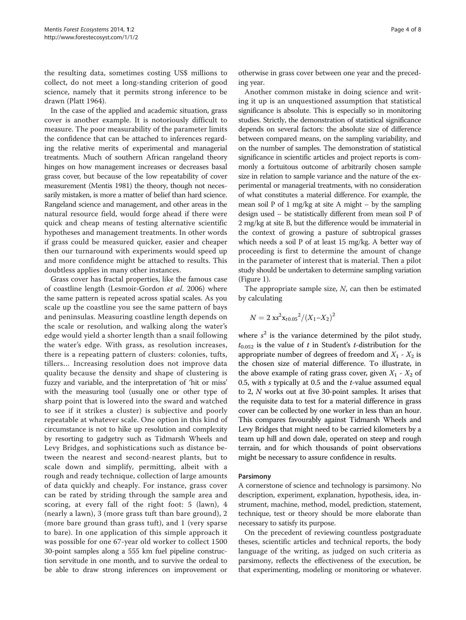the resulting data, sometimes costing US\$ millions to collect, do not meet a long-standing criterion of good science, namely that it permits strong inference to be drawn (Platt [1964\)](#page-7-0).

In the case of the applied and academic situation, grass cover is another example. It is notoriously difficult to measure. The poor measurability of the parameter limits the confidence that can be attached to inferences regarding the relative merits of experimental and managerial treatments. Much of southern African rangeland theory hinges on how management increases or decreases basal grass cover, but because of the low repeatability of cover measurement (Mentis [1981\)](#page-7-0) the theory, though not necessarily mistaken, is more a matter of belief than hard science. Rangeland science and management, and other areas in the natural resource field, would forge ahead if there were quick and cheap means of testing alternative scientific hypotheses and management treatments. In other words if grass could be measured quicker, easier and cheaper then our turnaround with experiments would speed up and more confidence might be attached to results. This doubtless applies in many other instances.

Grass cover has fractal properties, like the famous case of coastline length (Lesmoir-Gordon et al. [2006\)](#page-7-0) where the same pattern is repeated across spatial scales. As you scale up the coastline you see the same pattern of bays and peninsulas. Measuring coastline length depends on the scale or resolution, and walking along the water's edge would yield a shorter length than a snail following the water's edge. With grass, as resolution increases, there is a repeating pattern of clusters: colonies, tufts, tillers… Increasing resolution does not improve data quality because the density and shape of clustering is fuzzy and variable, and the interpretation of 'hit or miss' with the measuring tool (usually one or other type of sharp point that is lowered into the sward and watched to see if it strikes a cluster) is subjective and poorly repeatable at whatever scale. One option in this kind of circumstance is not to hike up resolution and complexity by resorting to gadgetry such as Tidmarsh Wheels and Levy Bridges, and sophistications such as distance between the nearest and second-nearest plants, but to scale down and simplify, permitting, albeit with a rough and ready technique, collection of large amounts of data quickly and cheaply. For instance, grass cover can be rated by striding through the sample area and scoring, at every fall of the right foot: 5 (lawn), 4 (nearly a lawn), 3 (more grass tuft than bare ground), 2 (more bare ground than grass tuft), and 1 (very sparse to bare). In one application of this simple approach it was possible for one 67-year old worker to collect 1500 30-point samples along a 555 km fuel pipeline construction servitude in one month, and to survive the ordeal to be able to draw strong inferences on improvement or

otherwise in grass cover between one year and the preceding year.

Another common mistake in doing science and writing it up is an unquestioned assumption that statistical significance is absolute. This is especially so in monitoring studies. Strictly, the demonstration of statistical significance depends on several factors: the absolute size of difference between compared means, on the sampling variability, and on the number of samples. The demonstration of statistical significance in scientific articles and project reports is commonly a fortuitous outcome of arbitrarily chosen sample size in relation to sample variance and the nature of the experimental or managerial treatments, with no consideration of what constitutes a material difference. For example, the mean soil P of 1 mg/kg at site A might – by the sampling design used – be statistically different from mean soil P of 2 mg/kg at site B, but the difference would be immaterial in the context of growing a pasture of subtropical grasses which needs a soil P of at least 15 mg/kg. A better way of proceeding is first to determine the amount of change in the parameter of interest that is material. Then a pilot study should be undertaken to determine sampling variation (Figure [1](#page-4-0)).

The appropriate sample size,  $N$ , can then be estimated by calculating

$$
N = 2 \, \mathrm{xs}^2 x_{t0.05}^2 / (X_1 - X_2)^2
$$

where  $s^2$  is the variance determined by the pilot study,  $t_{0.052}$  is the value of t in Student's t-distribution for the appropriate number of degrees of freedom and  $X_1$  -  $X_2$  is the chosen size of material difference. To illustrate, in the above example of rating grass cover, given  $X_1 - X_2$  of 0.5, with  $s$  typically at 0.5 and the  $t$ -value assumed equal to 2, N works out at five 30-point samples. It arises that the requisite data to test for a material difference in grass cover can be collected by one worker in less than an hour. This compares favourably against Tidmarsh Wheels and Levy Bridges that might need to be carried kilometers by a team up hill and down dale, operated on steep and rough terrain, and for which thousands of point observations might be necessary to assure confidence in results.

#### Parsimony

A cornerstone of science and technology is parsimony. No description, experiment, explanation, hypothesis, idea, instrument, machine, method, model, prediction, statement, technique, test or theory should be more elaborate than necessary to satisfy its purpose.

On the precedent of reviewing countless postgraduate theses, scientific articles and technical reports, the body language of the writing, as judged on such criteria as parsimony, reflects the effectiveness of the execution, be that experimenting, modeling or monitoring or whatever.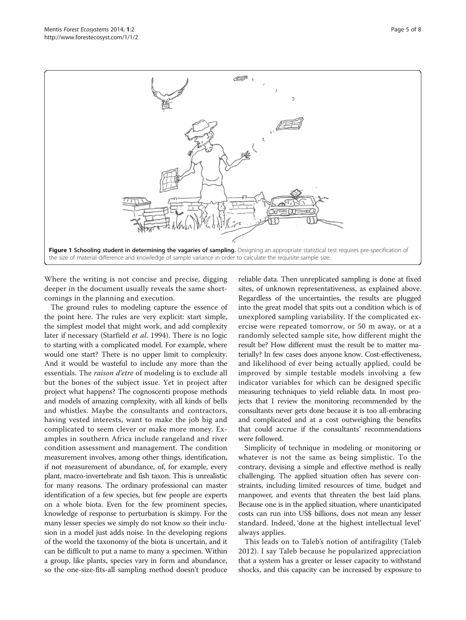<span id="page-4-0"></span>

Where the writing is not concise and precise, digging deeper in the document usually reveals the same shortcomings in the planning and execution.

The ground rules to modeling capture the essence of the point here. The rules are very explicit: start simple, the simplest model that might work, and add complexity later if necessary (Starfield et al. [1994](#page-7-0)). There is no logic to starting with a complicated model. For example, where would one start? There is no upper limit to complexity. And it would be wasteful to include any more than the essentials. The raison d'etre of modeling is to exclude all but the bones of the subject issue. Yet in project after project what happens? The cognoscenti propose methods and models of amazing complexity, with all kinds of bells and whistles. Maybe the consultants and contractors, having vested interests, want to make the job big and complicated to seem clever or make more money. Examples in southern Africa include rangeland and river condition assessment and management. The condition measurement involves, among other things, identification, if not measurement of abundance, of, for example, every plant, macro-invertebrate and fish taxon. This is unrealistic for many reasons. The ordinary professional can master identification of a few species, but few people are experts on a whole biota. Even for the few prominent species, knowledge of response to perturbation is skimpy. For the many lesser species we simply do not know so their inclusion in a model just adds noise. In the developing regions of the world the taxonomy of the biota is uncertain, and it can be difficult to put a name to many a specimen. Within a group, like plants, species vary in form and abundance, so the one-size-fits-all sampling method doesn't produce

reliable data. Then unreplicated sampling is done at fixed sites, of unknown representativeness, as explained above. Regardless of the uncertainties, the results are plugged into the great model that spits out a condition which is of unexplored sampling variability. If the complicated exercise were repeated tomorrow, or 50 m away, or at a randomly selected sample site, how different might the result be? How different must the result be to matter materially? In few cases does anyone know. Cost-effectiveness, and likelihood of ever being actually applied, could be improved by simple testable models involving a few indicator variables for which can be designed specific measuring techniques to yield reliable data. In most projects that I review the monitoring recommended by the consultants never gets done because it is too all-embracing and complicated and at a cost outweighing the benefits that could accrue if the consultants' recommendations were followed.

Simplicity of technique in modeling or monitoring or whatever is not the same as being simplistic. To the contrary, devising a simple and effective method is really challenging. The applied situation often has severe constraints, including limited resources of time, budget and manpower, and events that threaten the best laid plans. Because one is in the applied situation, where unanticipated costs can run into US\$ billions, does not mean any lesser standard. Indeed, 'done at the highest intellectual level' always applies.

This leads on to Taleb's notion of antifragility (Taleb [2012](#page-7-0)). I say Taleb because he popularized appreciation that a system has a greater or lesser capacity to withstand shocks, and this capacity can be increased by exposure to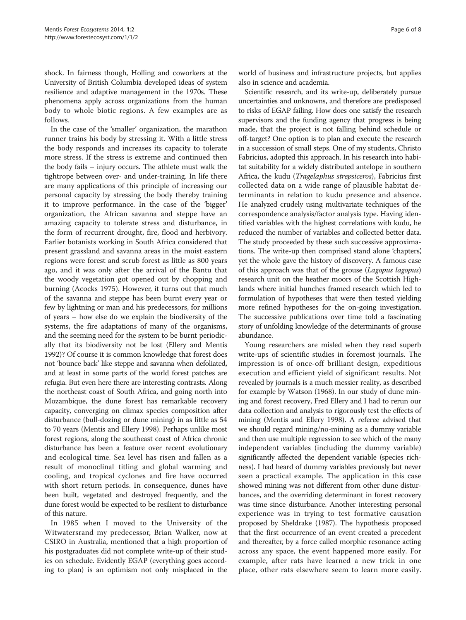shock. In fairness though, Holling and coworkers at the University of British Columbia developed ideas of system resilience and adaptive management in the 1970s. These phenomena apply across organizations from the human body to whole biotic regions. A few examples are as follows.

In the case of the 'smaller' organization, the marathon runner trains his body by stressing it. With a little stress the body responds and increases its capacity to tolerate more stress. If the stress is extreme and continued then the body fails – injury occurs. The athlete must walk the tightrope between over- and under-training. In life there are many applications of this principle of increasing our personal capacity by stressing the body thereby training it to improve performance. In the case of the 'bigger' organization, the African savanna and steppe have an amazing capacity to tolerate stress and disturbance, in the form of recurrent drought, fire, flood and herbivory. Earlier botanists working in South Africa considered that present grassland and savanna areas in the moist eastern regions were forest and scrub forest as little as 800 years ago, and it was only after the arrival of the Bantu that the woody vegetation got opened out by chopping and burning (Acocks [1975\)](#page-7-0). However, it turns out that much of the savanna and steppe has been burnt every year or few by lightning or man and his predecessors, for millions of years – how else do we explain the biodiversity of the systems, the fire adaptations of many of the organisms, and the seeming need for the system to be burnt periodically that its biodiversity not be lost (Ellery and Mentis [1992\)](#page-7-0)? Of course it is common knowledge that forest does not 'bounce back' like steppe and savanna when defoliated, and at least in some parts of the world forest patches are refugia. But even here there are interesting contrasts. Along the northeast coast of South Africa, and going north into Mozambique, the dune forest has remarkable recovery capacity, converging on climax species composition after disturbance (bull-dozing or dune mining) in as little as 54 to 70 years (Mentis and Ellery [1998](#page-7-0)). Perhaps unlike most forest regions, along the southeast coast of Africa chronic disturbance has been a feature over recent evolutionary and ecological time. Sea level has risen and fallen as a result of monoclinal titling and global warming and cooling, and tropical cyclones and fire have occurred with short return periods. In consequence, dunes have been built, vegetated and destroyed frequently, and the dune forest would be expected to be resilient to disturbance of this nature.

In 1985 when I moved to the University of the Witwatersrand my predecessor, Brian Walker, now at CSIRO in Australia, mentioned that a high proportion of his postgraduates did not complete write-up of their studies on schedule. Evidently EGAP (everything goes according to plan) is an optimism not only misplaced in the

world of business and infrastructure projects, but applies also in science and academia.

Scientific research, and its write-up, deliberately pursue uncertainties and unknowns, and therefore are predisposed to risks of EGAP failing. How does one satisfy the research supervisors and the funding agency that progress is being made, that the project is not falling behind schedule or off-target? One option is to plan and execute the research in a succession of small steps. One of my students, Christo Fabricius, adopted this approach. In his research into habitat suitability for a widely distributed antelope in southern Africa, the kudu (Tragelaphus strepsiceros), Fabricius first collected data on a wide range of plausible habitat determinants in relation to kudu presence and absence. He analyzed crudely using multivariate techniques of the correspondence analysis/factor analysis type. Having identified variables with the highest correlations with kudu, he reduced the number of variables and collected better data. The study proceeded by these such successive approximations. The write-up then comprised stand alone 'chapters', yet the whole gave the history of discovery. A famous case of this approach was that of the grouse (Lagopus lagopus) research unit on the heather moors of the Scottish Highlands where initial hunches framed research which led to formulation of hypotheses that were then tested yielding more refined hypotheses for the on-going investigation. The successive publications over time told a fascinating story of unfolding knowledge of the determinants of grouse abundance.

Young researchers are misled when they read superb write-ups of scientific studies in foremost journals. The impression is of once-off brilliant design, expeditious execution and efficient yield of significant results. Not revealed by journals is a much messier reality, as described for example by Watson [\(1968](#page-7-0)). In our study of dune mining and forest recovery, Fred Ellery and I had to rerun our data collection and analysis to rigorously test the effects of mining (Mentis and Ellery [1998](#page-7-0)). A referee advised that we should regard mining/no-mining as a dummy variable and then use multiple regression to see which of the many independent variables (including the dummy variable) significantly affected the dependent variable (species richness). I had heard of dummy variables previously but never seen a practical example. The application in this case showed mining was not different from other dune disturbances, and the overriding determinant in forest recovery was time since disturbance. Another interesting personal experience was in trying to test formative causation proposed by Sheldrake [\(1987](#page-7-0)). The hypothesis proposed that the first occurrence of an event created a precedent and thereafter, by a force called morphic resonance acting across any space, the event happened more easily. For example, after rats have learned a new trick in one place, other rats elsewhere seem to learn more easily.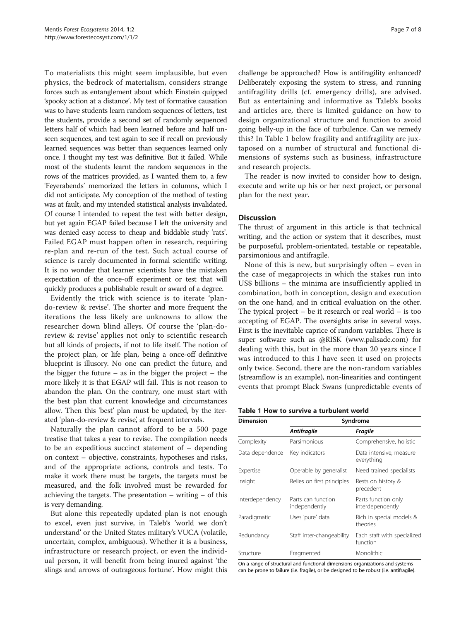To materialists this might seem implausible, but even physics, the bedrock of materialism, considers strange forces such as entanglement about which Einstein quipped 'spooky action at a distance'. My test of formative causation was to have students learn random sequences of letters, test the students, provide a second set of randomly sequenced letters half of which had been learned before and half unseen sequences, and test again to see if recall on previously learned sequences was better than sequences learned only once. I thought my test was definitive. But it failed. While most of the students learnt the random sequences in the rows of the matrices provided, as I wanted them to, a few 'Feyerabends' memorized the letters in columns, which I did not anticipate. My conception of the method of testing was at fault, and my intended statistical analysis invalidated. Of course I intended to repeat the test with better design, but yet again EGAP failed because I left the university and was denied easy access to cheap and biddable study 'rats'. Failed EGAP must happen often in research, requiring re-plan and re-run of the test. Such actual course of science is rarely documented in formal scientific writing. It is no wonder that learner scientists have the mistaken expectation of the once-off experiment or test that will quickly produces a publishable result or award of a degree.

Evidently the trick with science is to iterate 'plando-review & revise'. The shorter and more frequent the iterations the less likely are unknowns to allow the researcher down blind alleys. Of course the 'plan-doreview & revise' applies not only to scientific research but all kinds of projects, if not to life itself. The notion of the project plan, or life plan, being a once-off definitive blueprint is illusory. No one can predict the future, and the bigger the future – as in the bigger the project – the more likely it is that EGAP will fail. This is not reason to abandon the plan. On the contrary, one must start with the best plan that current knowledge and circumstances allow. Then this 'best' plan must be updated, by the iterated 'plan-do-review & revise', at frequent intervals.

Naturally the plan cannot afford to be a 500 page treatise that takes a year to revise. The compilation needs to be an expeditious succinct statement of – depending on context – objective, constraints, hypotheses and risks, and of the appropriate actions, controls and tests. To make it work there must be targets, the targets must be measured, and the folk involved must be rewarded for achieving the targets. The presentation  $-$  writing  $-$  of this is very demanding.

But alone this repeatedly updated plan is not enough to excel, even just survive, in Taleb's 'world we don't understand' or the United States military's VUCA (volatile, uncertain, complex, ambiguous). Whether it is a business, infrastructure or research project, or even the individual person, it will benefit from being inured against 'the slings and arrows of outrageous fortune'. How might this

challenge be approached? How is antifragility enhanced? Deliberately exposing the system to stress, and running antifragility drills (cf. emergency drills), are advised. But as entertaining and informative as Taleb's books and articles are, there is limited guidance on how to design organizational structure and function to avoid going belly-up in the face of turbulence. Can we remedy this? In Table 1 below fragility and antifragility are juxtaposed on a number of structural and functional dimensions of systems such as business, infrastructure and research projects.

The reader is now invited to consider how to design, execute and write up his or her next project, or personal plan for the next year.

### Discussion

The thrust of argument in this article is that technical writing, and the action or system that it describes, must be purposeful, problem-orientated, testable or repeatable, parsimonious and antifragile.

None of this is new, but surprisingly often – even in the case of megaprojects in which the stakes run into US\$ billions – the minima are insufficiently applied in combination, both in conception, design and execution on the one hand, and in critical evaluation on the other. The typical project – be it research or real world – is too accepting of EGAP. The oversights arise in several ways. First is the inevitable caprice of random variables. There is super software such as @RISK [\(www.palisade.com\)](http://www.palisade.com) for dealing with this, but in the more than 20 years since I was introduced to this I have seen it used on projects only twice. Second, there are the non-random variables (streamflow is an example), non-linearities and contingent events that prompt Black Swans (unpredictable events of

|  |  |  |  |  |  | Table 1 How to survive a turbulent world |  |
|--|--|--|--|--|--|------------------------------------------|--|
|--|--|--|--|--|--|------------------------------------------|--|

| Dimension       | Syndrome                            |                                         |  |  |  |
|-----------------|-------------------------------------|-----------------------------------------|--|--|--|
|                 | Antifragile                         | Fragile                                 |  |  |  |
| Complexity      | Parsimonious                        | Comprehensive, holistic                 |  |  |  |
| Data dependence | Key indicators                      | Data intensive, measure<br>everything   |  |  |  |
| Expertise       | Operable by generalist              | Need trained specialists                |  |  |  |
| Insight         | Relies on first principles          | Rests on history &<br>precedent         |  |  |  |
| Interdependency | Parts can function<br>independently | Parts function only<br>interdependently |  |  |  |
| Paradigmatic    | Uses 'pure' data                    | Rich in special models &<br>theories    |  |  |  |
| Redundancy      | Staff inter-changeability           | Each staff with specialized<br>function |  |  |  |
| Structure       | Fragmented                          | Monolithic                              |  |  |  |

On a range of structural and functional dimensions organizations and systems can be prone to failure (i.e. fragile), or be designed to be robust (i.e. antifragile).